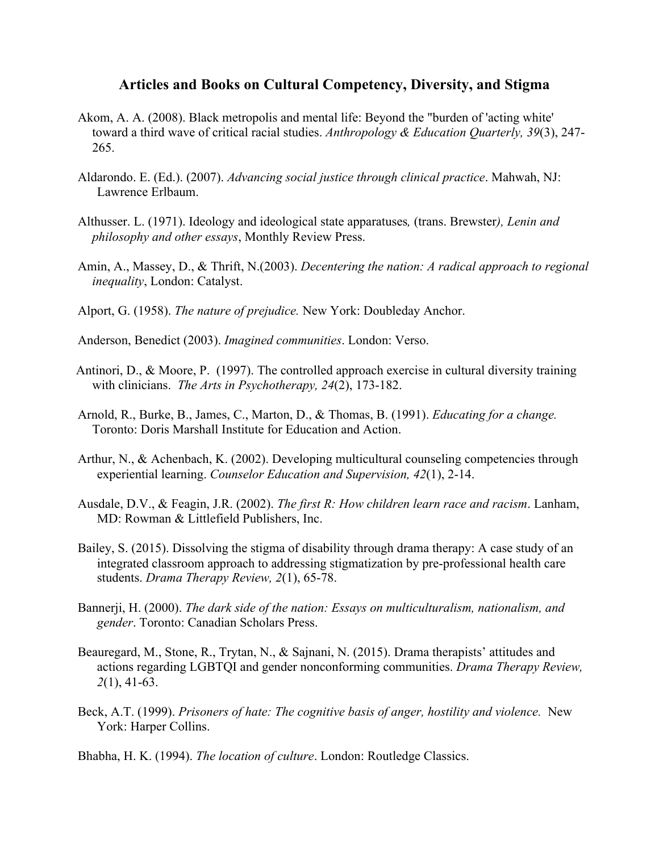## **Articles and Books on Cultural Competency, Diversity, and Stigma**

- Akom, A. A. (2008). Black metropolis and mental life: Beyond the "burden of 'acting white' toward a third wave of critical racial studies. *Anthropology & Education Quarterly, 39*(3), 247- 265.
- Aldarondo. E. (Ed.). (2007). *Advancing social justice through clinical practice*. Mahwah, NJ: Lawrence Erlbaum.
- Althusser. L. (1971). Ideology and ideological state apparatuses*,* (trans. Brewster*), Lenin and philosophy and other essays*, Monthly Review Press.
- Amin, A., Massey, D., & Thrift, N.(2003). *Decentering the nation: A radical approach to regional inequality*, London: Catalyst.
- Alport, G. (1958). *The nature of prejudice.* New York: Doubleday Anchor.
- Anderson, Benedict (2003). *Imagined communities*. London: Verso.
- Antinori, D., & Moore, P. (1997). The controlled approach exercise in cultural diversity training with clinicians. *The Arts in Psychotherapy, 24*(2), 173-182.
- Arnold, R., Burke, B., James, C., Marton, D., & Thomas, B. (1991). *Educating for a change.*  Toronto: Doris Marshall Institute for Education and Action.
- Arthur, N., & Achenbach, K. (2002). Developing multicultural counseling competencies through experiential learning. *Counselor Education and Supervision, 42*(1), 2-14.
- Ausdale, D.V., & Feagin, J.R. (2002). *The first R: How children learn race and racism*. Lanham, MD: Rowman & Littlefield Publishers, Inc.
- Bailey, S. (2015). Dissolving the stigma of disability through drama therapy: A case study of an integrated classroom approach to addressing stigmatization by pre-professional health care students. *Drama Therapy Review, 2*(1), 65-78.
- Bannerji, H. (2000). *The dark side of the nation: Essays on multiculturalism, nationalism, and gender*. Toronto: Canadian Scholars Press.
- Beauregard, M., Stone, R., Trytan, N., & Sajnani, N. (2015). Drama therapists' attitudes and actions regarding LGBTQI and gender nonconforming communities. *Drama Therapy Review, 2*(1), 41-63.
- Beck, A.T. (1999). *Prisoners of hate: The cognitive basis of anger, hostility and violence.* New York: Harper Collins.
- Bhabha, H. K. (1994). *The location of culture*. London: Routledge Classics.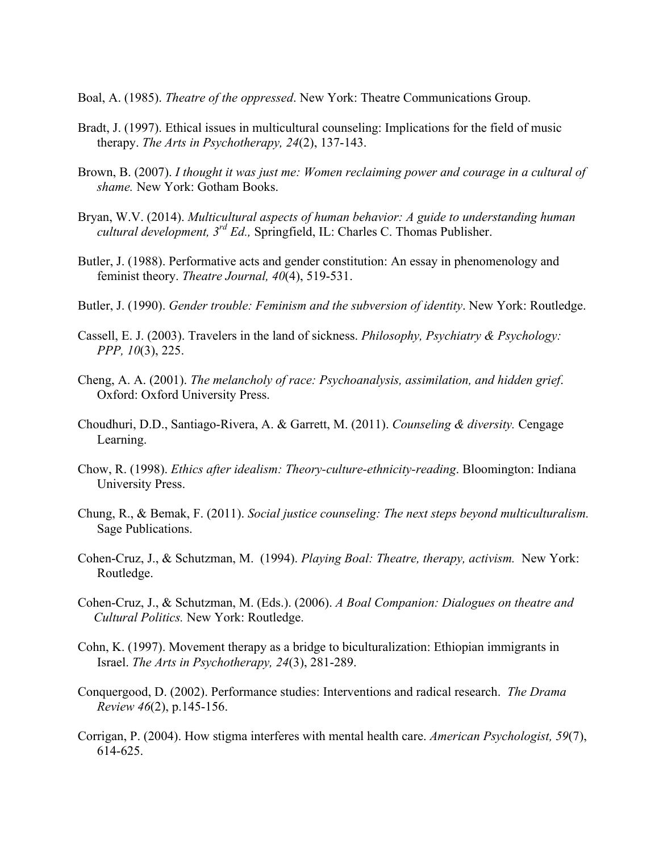Boal, A. (1985). *Theatre of the oppressed*. New York: Theatre Communications Group.

- Bradt, J. (1997). Ethical issues in multicultural counseling: Implications for the field of music therapy. *The Arts in Psychotherapy, 24*(2), 137-143.
- Brown, B. (2007). *I thought it was just me: Women reclaiming power and courage in a cultural of shame.* New York: Gotham Books.
- Bryan, W.V. (2014). *Multicultural aspects of human behavior: A guide to understanding human cultural development, 3rd Ed.,* Springfield, IL: Charles C. Thomas Publisher.
- Butler, J. (1988). Performative acts and gender constitution: An essay in phenomenology and feminist theory. *Theatre Journal, 40*(4), 519-531.
- Butler, J. (1990). *Gender trouble: Feminism and the subversion of identity*. New York: Routledge.
- Cassell, E. J. (2003). Travelers in the land of sickness. *Philosophy, Psychiatry & Psychology: PPP, 10*(3), 225.
- Cheng, A. A. (2001). *The melancholy of race: Psychoanalysis, assimilation, and hidden grief*. Oxford: Oxford University Press.
- Choudhuri, D.D., Santiago-Rivera, A. & Garrett, M. (2011). *Counseling & diversity.* Cengage Learning.
- Chow, R. (1998). *Ethics after idealism: Theory-culture-ethnicity-reading*. Bloomington: Indiana University Press.
- Chung, R., & Bemak, F. (2011). *Social justice counseling: The next steps beyond multiculturalism.* Sage Publications.
- Cohen-Cruz, J., & Schutzman, M. (1994). *Playing Boal: Theatre, therapy, activism.* New York: Routledge.
- Cohen-Cruz, J., & Schutzman, M. (Eds.). (2006). *A Boal Companion: Dialogues on theatre and Cultural Politics.* New York: Routledge.
- Cohn, K. (1997). Movement therapy as a bridge to biculturalization: Ethiopian immigrants in Israel. *The Arts in Psychotherapy, 24*(3), 281-289.
- Conquergood, D. (2002). Performance studies: Interventions and radical research. *The Drama Review 46*(2), p.145-156.
- Corrigan, P. (2004). How stigma interferes with mental health care. *American Psychologist, 59*(7), 614-625.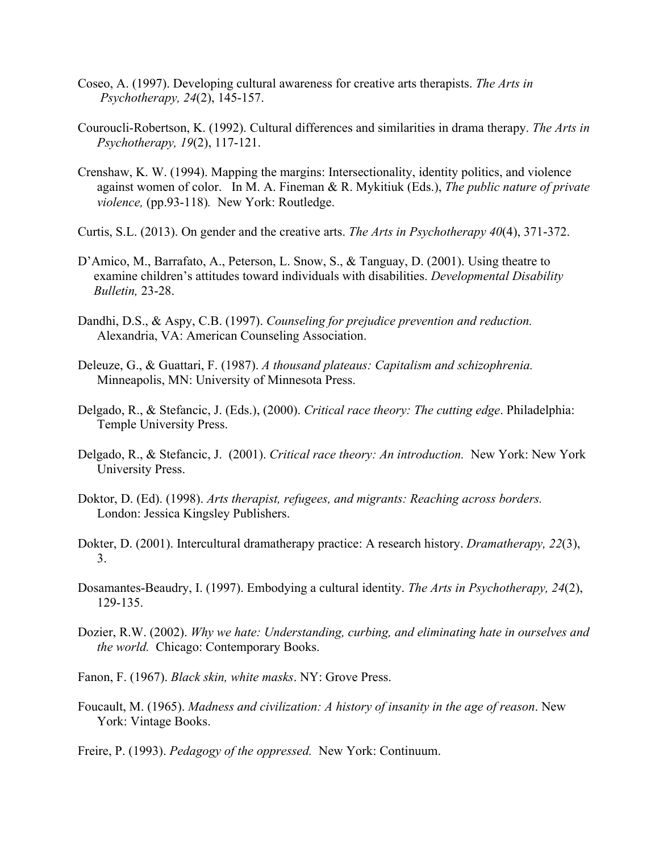- Coseo, A. (1997). Developing cultural awareness for creative arts therapists. *The Arts in Psychotherapy, 24*(2), 145-157.
- Couroucli-Robertson, K. (1992). Cultural differences and similarities in drama therapy. *The Arts in Psychotherapy, 19*(2), 117-121.
- Crenshaw, K. W. (1994). Mapping the margins: Intersectionality, identity politics, and violence against women of color. In M. A. Fineman & R. Mykitiuk (Eds.), *The public nature of private violence,* (pp.93-118)*.* New York: Routledge.
- Curtis, S.L. (2013). On gender and the creative arts. *The Arts in Psychotherapy 40*(4), 371-372.
- D'Amico, M., Barrafato, A., Peterson, L. Snow, S., & Tanguay, D. (2001). Using theatre to examine children's attitudes toward individuals with disabilities. *Developmental Disability Bulletin,* 23-28.
- Dandhi, D.S., & Aspy, C.B. (1997). *Counseling for prejudice prevention and reduction.*  Alexandria, VA: American Counseling Association.
- Deleuze, G., & Guattari, F. (1987). *A thousand plateaus: Capitalism and schizophrenia.* Minneapolis, MN: University of Minnesota Press.
- Delgado, R., & Stefancic, J. (Eds.), (2000). *Critical race theory: The cutting edge*. Philadelphia: Temple University Press.
- Delgado, R., & Stefancic, J. (2001). *Critical race theory: An introduction.* New York: New York University Press.
- Doktor, D. (Ed). (1998). *Arts therapist, refugees, and migrants: Reaching across borders.* London: Jessica Kingsley Publishers.
- Dokter, D. (2001). Intercultural dramatherapy practice: A research history. *Dramatherapy, 22*(3), 3.
- Dosamantes-Beaudry, I. (1997). Embodying a cultural identity. *The Arts in Psychotherapy, 24*(2), 129-135.
- Dozier, R.W. (2002). *Why we hate: Understanding, curbing, and eliminating hate in ourselves and the world.* Chicago: Contemporary Books.
- Fanon, F. (1967). *Black skin, white masks*. NY: Grove Press.
- Foucault, M. (1965). *Madness and civilization: A history of insanity in the age of reason*. New York: Vintage Books.
- Freire, P. (1993). *Pedagogy of the oppressed.* New York: Continuum.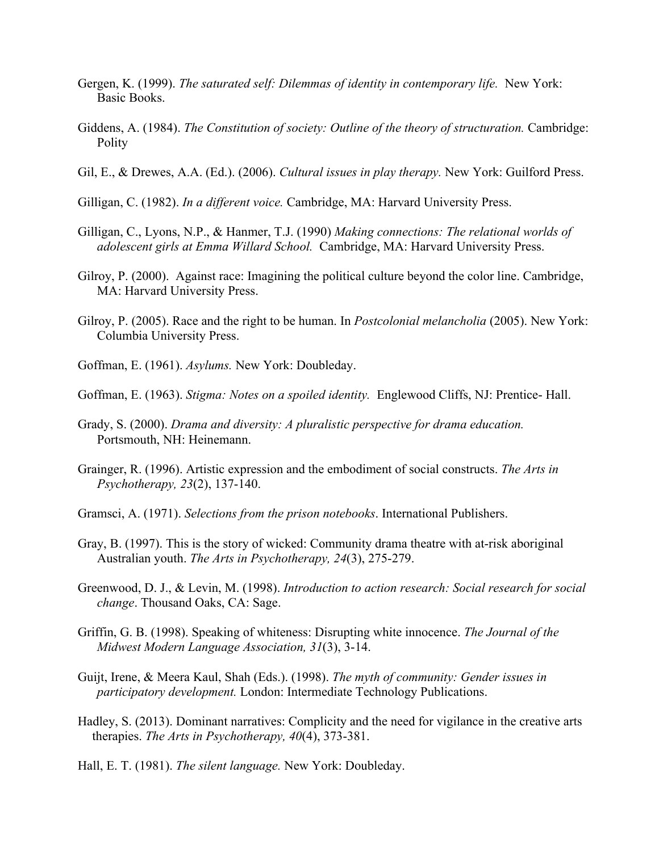- Gergen, K. (1999). *The saturated self: Dilemmas of identity in contemporary life.* New York: Basic Books.
- Giddens, A. (1984). *The Constitution of society: Outline of the theory of structuration.* Cambridge: Polity
- Gil, E., & Drewes, A.A. (Ed.). (2006). *Cultural issues in play therapy.* New York: Guilford Press.
- Gilligan, C. (1982). *In a different voice.* Cambridge, MA: Harvard University Press.
- Gilligan, C., Lyons, N.P., & Hanmer, T.J. (1990) *Making connections: The relational worlds of adolescent girls at Emma Willard School.* Cambridge, MA: Harvard University Press.
- Gilroy, P. (2000). Against race: Imagining the political culture beyond the color line. Cambridge, MA: Harvard University Press.
- Gilroy, P. (2005). Race and the right to be human. In *Postcolonial melancholia* (2005). New York: Columbia University Press.
- Goffman, E. (1961). *Asylums.* New York: Doubleday.
- Goffman, E. (1963). *Stigma: Notes on a spoiled identity.* Englewood Cliffs, NJ: Prentice- Hall.
- Grady, S. (2000). *Drama and diversity: A pluralistic perspective for drama education.*  Portsmouth, NH: Heinemann.
- Grainger, R. (1996). Artistic expression and the embodiment of social constructs. *The Arts in Psychotherapy, 23*(2), 137-140.
- Gramsci, A. (1971). *Selections from the prison notebooks*. International Publishers.
- Gray, B. (1997). This is the story of wicked: Community drama theatre with at-risk aboriginal Australian youth. *The Arts in Psychotherapy, 24*(3), 275-279.
- Greenwood, D. J., & Levin, M. (1998). *Introduction to action research: Social research for social change*. Thousand Oaks, CA: Sage.
- Griffin, G. B. (1998). Speaking of whiteness: Disrupting white innocence. *The Journal of the Midwest Modern Language Association, 31*(3), 3-14.
- Guijt, Irene, & Meera Kaul, Shah (Eds.). (1998). *The myth of community: Gender issues in participatory development.* London: Intermediate Technology Publications.
- Hadley, S. (2013). Dominant narratives: Complicity and the need for vigilance in the creative arts therapies. *The Arts in Psychotherapy, 40*(4), 373-381.
- Hall, E. T. (1981). *The silent language.* New York: Doubleday.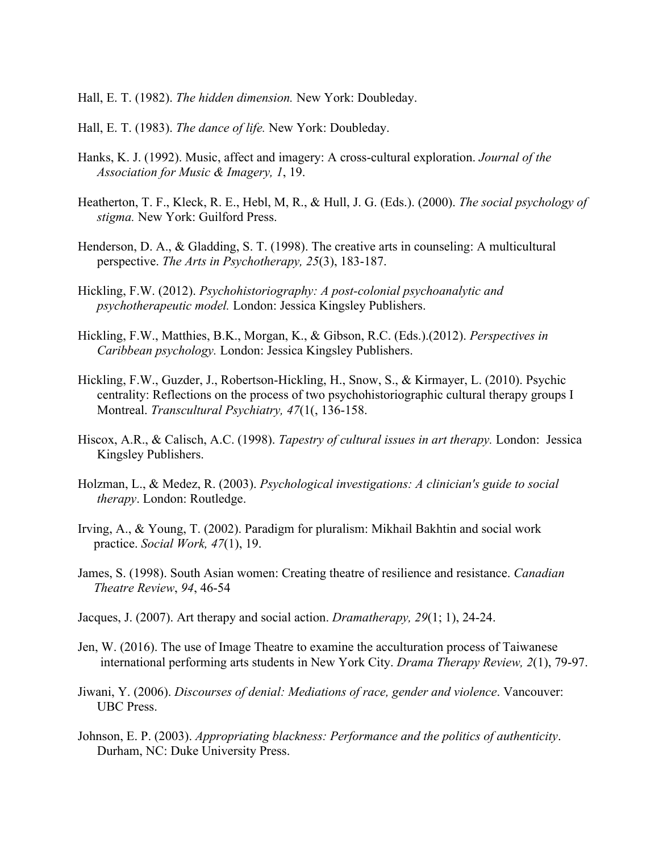Hall, E. T. (1982). *The hidden dimension.* New York: Doubleday.

- Hall, E. T. (1983). *The dance of life.* New York: Doubleday.
- Hanks, K. J. (1992). Music, affect and imagery: A cross-cultural exploration. *Journal of the Association for Music & Imagery, 1*, 19.
- Heatherton, T. F., Kleck, R. E., Hebl, M, R., & Hull, J. G. (Eds.). (2000). *The social psychology of stigma.* New York: Guilford Press.
- Henderson, D. A., & Gladding, S. T. (1998). The creative arts in counseling: A multicultural perspective. *The Arts in Psychotherapy, 25*(3), 183-187.
- Hickling, F.W. (2012). *Psychohistoriography: A post-colonial psychoanalytic and psychotherapeutic model.* London: Jessica Kingsley Publishers.
- Hickling, F.W., Matthies, B.K., Morgan, K., & Gibson, R.C. (Eds.).(2012). *Perspectives in Caribbean psychology.* London: Jessica Kingsley Publishers.
- Hickling, F.W., Guzder, J., Robertson-Hickling, H., Snow, S., & Kirmayer, L. (2010). Psychic centrality: Reflections on the process of two psychohistoriographic cultural therapy groups I Montreal. *Transcultural Psychiatry, 47*(1(, 136-158.
- Hiscox, A.R., & Calisch, A.C. (1998). *Tapestry of cultural issues in art therapy.* London: Jessica Kingsley Publishers.
- Holzman, L., & Medez, R. (2003). *Psychological investigations: A clinician's guide to social therapy*. London: Routledge.
- Irving, A., & Young, T. (2002). Paradigm for pluralism: Mikhail Bakhtin and social work practice. *Social Work, 47*(1), 19.
- James, S. (1998). South Asian women: Creating theatre of resilience and resistance. *Canadian Theatre Review*, *94*, 46-54
- Jacques, J. (2007). Art therapy and social action. *Dramatherapy, 29*(1; 1), 24-24.
- Jen, W. (2016). The use of Image Theatre to examine the acculturation process of Taiwanese international performing arts students in New York City. *Drama Therapy Review, 2*(1), 79-97.
- Jiwani, Y. (2006). *Discourses of denial: Mediations of race, gender and violence*. Vancouver: UBC Press.
- Johnson, E. P. (2003). *Appropriating blackness: Performance and the politics of authenticity*. Durham, NC: Duke University Press.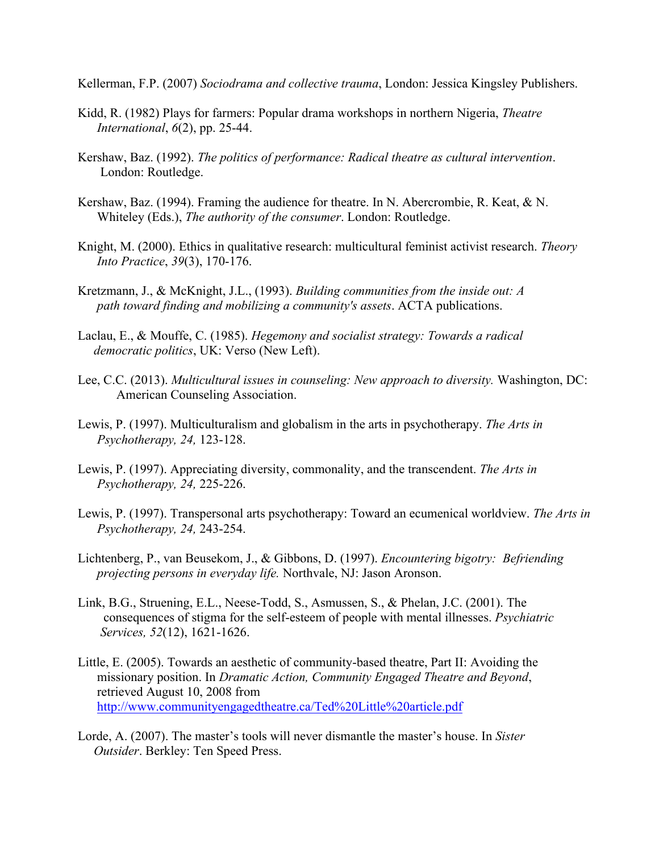Kellerman, F.P. (2007) *Sociodrama and collective trauma*, London: Jessica Kingsley Publishers.

- Kidd, R. (1982) Plays for farmers: Popular drama workshops in northern Nigeria, *Theatre International*, *6*(2), pp. 25-44.
- Kershaw, Baz. (1992). *The politics of performance: Radical theatre as cultural intervention*. London: Routledge.
- Kershaw, Baz. (1994). Framing the audience for theatre. In N. Abercrombie, R. Keat, & N. Whiteley (Eds.), *The authority of the consumer*. London: Routledge.
- Knight, M. (2000). Ethics in qualitative research: multicultural feminist activist research. *Theory Into Practice*, *39*(3), 170-176.
- Kretzmann, J., & McKnight, J.L., (1993). *Building communities from the inside out: A path toward finding and mobilizing a community's assets*. ACTA publications.
- Laclau, E., & Mouffe, C. (1985). *Hegemony and socialist strategy: Towards a radical democratic politics*, UK: Verso (New Left).
- Lee, C.C. (2013). *Multicultural issues in counseling: New approach to diversity.* Washington, DC: American Counseling Association.
- Lewis, P. (1997). Multiculturalism and globalism in the arts in psychotherapy. *The Arts in Psychotherapy, 24,* 123-128.
- Lewis, P. (1997). Appreciating diversity, commonality, and the transcendent. *The Arts in Psychotherapy, 24,* 225-226.
- Lewis, P. (1997). Transpersonal arts psychotherapy: Toward an ecumenical worldview. *The Arts in Psychotherapy, 24,* 243-254.
- Lichtenberg, P., van Beusekom, J., & Gibbons, D. (1997). *Encountering bigotry: Befriending projecting persons in everyday life.* Northvale, NJ: Jason Aronson.
- Link, B.G., Struening, E.L., Neese-Todd, S., Asmussen, S., & Phelan, J.C. (2001). The consequences of stigma for the self-esteem of people with mental illnesses. *Psychiatric Services, 52*(12), 1621-1626.
- Little, E. (2005). Towards an aesthetic of community-based theatre, Part II: Avoiding the missionary position. In *Dramatic Action, Community Engaged Theatre and Beyond*, retrieved August 10, 2008 from http://www.communityengagedtheatre.ca/Ted%20Little%20article.pdf
- Lorde, A. (2007). The master's tools will never dismantle the master's house. In *Sister Outsider*. Berkley: Ten Speed Press.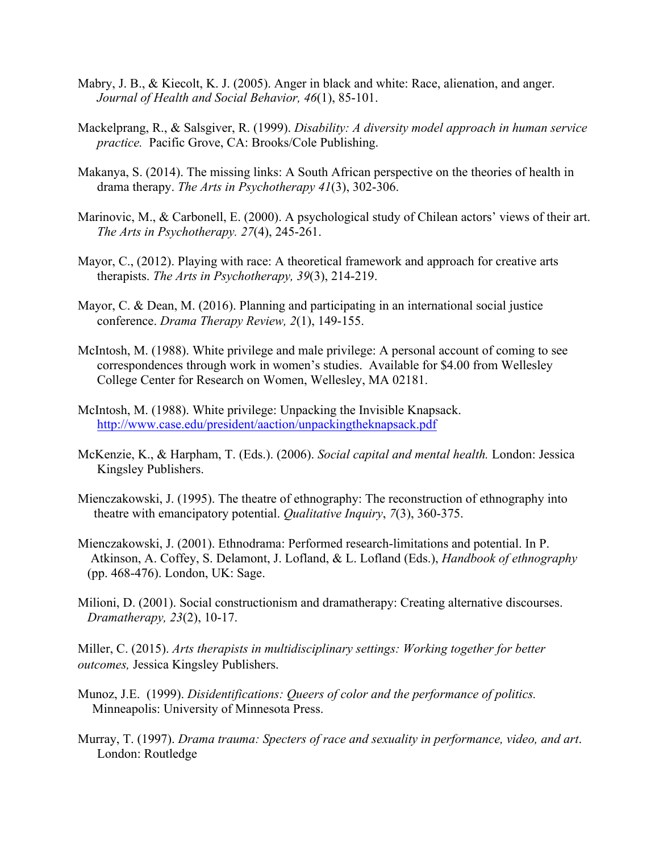- Mabry, J. B., & Kiecolt, K. J. (2005). Anger in black and white: Race, alienation, and anger. *Journal of Health and Social Behavior, 46*(1), 85-101.
- Mackelprang, R., & Salsgiver, R. (1999). *Disability: A diversity model approach in human service practice.* Pacific Grove, CA: Brooks/Cole Publishing.
- Makanya, S. (2014). The missing links: A South African perspective on the theories of health in drama therapy. *The Arts in Psychotherapy 41*(3), 302-306.
- Marinovic, M., & Carbonell, E. (2000). A psychological study of Chilean actors' views of their art. *The Arts in Psychotherapy. 27*(4), 245-261.
- Mayor, C., (2012). Playing with race: A theoretical framework and approach for creative arts therapists. *The Arts in Psychotherapy, 39*(3), 214-219.
- Mayor, C. & Dean, M. (2016). Planning and participating in an international social justice conference. *Drama Therapy Review, 2*(1), 149-155.
- McIntosh, M. (1988). White privilege and male privilege: A personal account of coming to see correspondences through work in women's studies. Available for \$4.00 from Wellesley College Center for Research on Women, Wellesley, MA 02181.
- McIntosh, M. (1988). White privilege: Unpacking the Invisible Knapsack. http://www.case.edu/president/aaction/unpackingtheknapsack.pdf
- McKenzie, K., & Harpham, T. (Eds.). (2006). *Social capital and mental health.* London: Jessica Kingsley Publishers.
- Mienczakowski, J. (1995). The theatre of ethnography: The reconstruction of ethnography into theatre with emancipatory potential. *Qualitative Inquiry*, *7*(3), 360-375.
- Mienczakowski, J. (2001). Ethnodrama: Performed research-limitations and potential. In P. Atkinson, A. Coffey, S. Delamont, J. Lofland, & L. Lofland (Eds.), *Handbook of ethnography*  (pp. 468-476). London, UK: Sage.
- Milioni, D. (2001). Social constructionism and dramatherapy: Creating alternative discourses. *Dramatherapy, 23*(2), 10-17.

Miller, C. (2015). *Arts therapists in multidisciplinary settings: Working together for better outcomes,* Jessica Kingsley Publishers.

- Munoz, J.E. (1999). *Disidentifications: Queers of color and the performance of politics.* Minneapolis: University of Minnesota Press.
- Murray, T. (1997). *Drama trauma: Specters of race and sexuality in performance, video, and art*. London: Routledge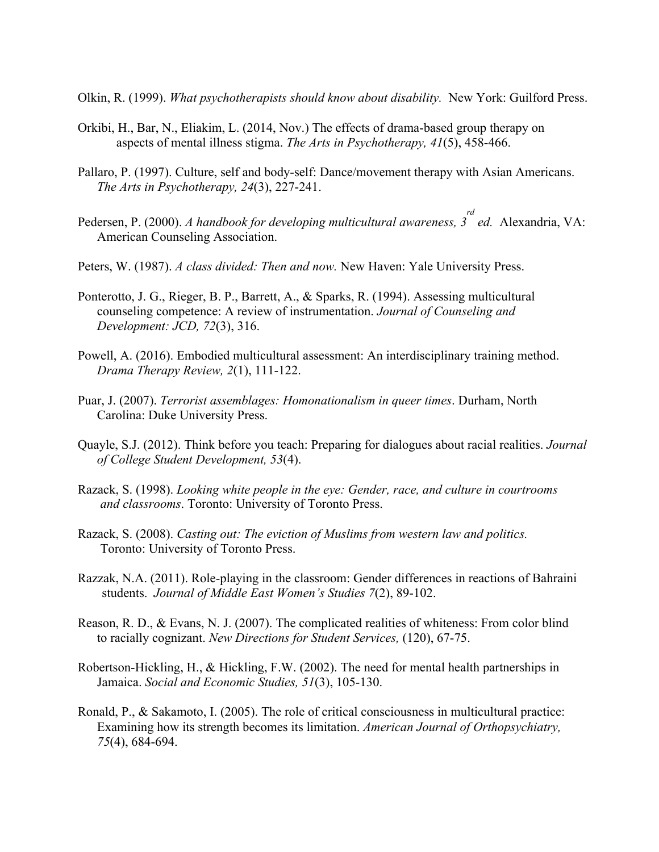Olkin, R. (1999). *What psychotherapists should know about disability.* New York: Guilford Press.

- Orkibi, H., Bar, N., Eliakim, L. (2014, Nov.) The effects of drama-based group therapy on aspects of mental illness stigma. *The Arts in Psychotherapy, 41*(5), 458-466.
- Pallaro, P. (1997). Culture, self and body-self: Dance/movement therapy with Asian Americans. *The Arts in Psychotherapy, 24*(3), 227-241.
- Pedersen, P. (2000). *A handbook for developing multicultural awareness, 3 rd ed.* Alexandria, VA: American Counseling Association.
- Peters, W. (1987). *A class divided: Then and now.* New Haven: Yale University Press.
- Ponterotto, J. G., Rieger, B. P., Barrett, A., & Sparks, R. (1994). Assessing multicultural counseling competence: A review of instrumentation. *Journal of Counseling and Development: JCD, 72*(3), 316.
- Powell, A. (2016). Embodied multicultural assessment: An interdisciplinary training method. *Drama Therapy Review, 2*(1), 111-122.
- Puar, J. (2007). *Terrorist assemblages: Homonationalism in queer times*. Durham, North Carolina: Duke University Press.
- Quayle, S.J. (2012). Think before you teach: Preparing for dialogues about racial realities. *Journal of College Student Development, 53*(4).
- Razack, S. (1998). *Looking white people in the eye: Gender, race, and culture in courtrooms and classrooms*. Toronto: University of Toronto Press.
- Razack, S. (2008). *Casting out: The eviction of Muslims from western law and politics.* Toronto: University of Toronto Press.
- Razzak, N.A. (2011). Role-playing in the classroom: Gender differences in reactions of Bahraini students. *Journal of Middle East Women's Studies 7*(2), 89-102.
- Reason, R. D., & Evans, N. J. (2007). The complicated realities of whiteness: From color blind to racially cognizant. *New Directions for Student Services,* (120), 67-75.
- Robertson-Hickling, H., & Hickling, F.W. (2002). The need for mental health partnerships in Jamaica. *Social and Economic Studies, 51*(3), 105-130.
- Ronald, P., & Sakamoto, I. (2005). The role of critical consciousness in multicultural practice: Examining how its strength becomes its limitation. *American Journal of Orthopsychiatry, 75*(4), 684-694.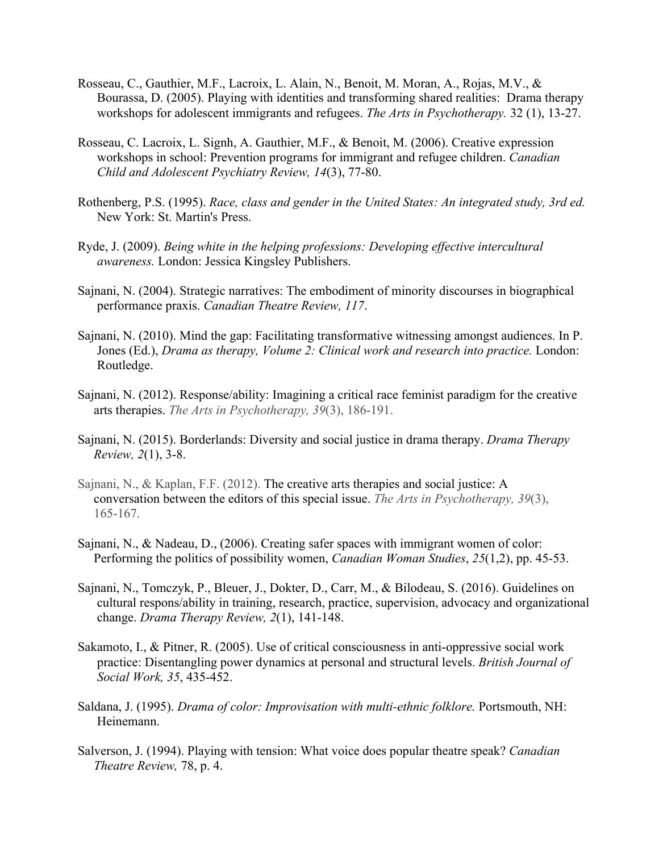- Rosseau, C., Gauthier, M.F., Lacroix, L. Alain, N., Benoit, M. Moran, A., Rojas, M.V., & Bourassa, D. (2005). Playing with identities and transforming shared realities: Drama therapy workshops for adolescent immigrants and refugees. *The Arts in Psychotherapy.* 32 (1), 13-27.
- Rosseau, C. Lacroix, L. Signh, A. Gauthier, M.F., & Benoit, M. (2006). Creative expression workshops in school: Prevention programs for immigrant and refugee children. *Canadian Child and Adolescent Psychiatry Review, 14*(3), 77-80.
- Rothenberg, P.S. (1995). *Race, class and gender in the United States: An integrated study, 3rd ed.*  New York: St. Martin's Press.
- Ryde, J. (2009). *Being white in the helping professions: Developing effective intercultural awareness.* London: Jessica Kingsley Publishers.
- Sajnani, N. (2004). Strategic narratives: The embodiment of minority discourses in biographical performance praxis. *Canadian Theatre Review, 117*.
- Sajnani, N. (2010). Mind the gap: Facilitating transformative witnessing amongst audiences. In P. Jones (Ed.), *Drama as therapy, Volume 2: Clinical work and research into practice.* London: Routledge.
- Sajnani, N. (2012). Response/ability: Imagining a critical race feminist paradigm for the creative arts therapies. *The Arts in Psychotherapy, 39*(3), 186-191.
- Sajnani, N. (2015). Borderlands: Diversity and social justice in drama therapy. *Drama Therapy Review, 2*(1), 3-8.
- Sajnani, N., & Kaplan, F.F. (2012). The creative arts therapies and social justice: A conversation between the editors of this special issue. *The Arts in Psychotherapy, 39*(3), 165-167.
- Sajnani, N., & Nadeau, D., (2006). Creating safer spaces with immigrant women of color: Performing the politics of possibility women, *Canadian Woman Studies*, *25*(1,2), pp. 45-53.
- Sajnani, N., Tomczyk, P., Bleuer, J., Dokter, D., Carr, M., & Bilodeau, S. (2016). Guidelines on cultural respons/ability in training, research, practice, supervision, advocacy and organizational change. *Drama Therapy Review, 2*(1), 141-148.
- Sakamoto, I., & Pitner, R. (2005). Use of critical consciousness in anti-oppressive social work practice: Disentangling power dynamics at personal and structural levels. *British Journal of Social Work, 35*, 435-452.
- Saldana, J. (1995). *Drama of color: Improvisation with multi-ethnic folklore.* Portsmouth, NH: Heinemann.
- Salverson, J. (1994). Playing with tension: What voice does popular theatre speak? *Canadian Theatre Review,* 78, p. 4.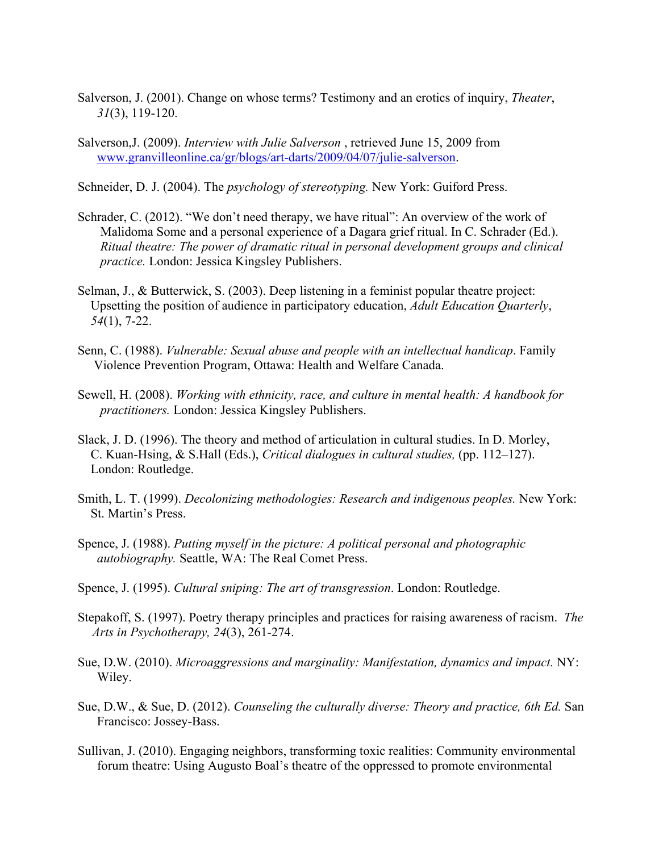- Salverson, J. (2001). Change on whose terms? Testimony and an erotics of inquiry, *Theater*, *31*(3), 119-120.
- Salverson,J. (2009). *Interview with Julie Salverson* , retrieved June 15, 2009 from www.granvilleonline.ca/gr/blogs/art-darts/2009/04/07/julie-salverson.
- Schneider, D. J. (2004). The *psychology of stereotyping.* New York: Guiford Press.
- Schrader, C. (2012). "We don't need therapy, we have ritual": An overview of the work of Malidoma Some and a personal experience of a Dagara grief ritual. In C. Schrader (Ed.). *Ritual theatre: The power of dramatic ritual in personal development groups and clinical practice.* London: Jessica Kingsley Publishers.
- Selman, J., & Butterwick, S. (2003). Deep listening in a feminist popular theatre project: Upsetting the position of audience in participatory education, *Adult Education Quarterly*, *54*(1), 7-22.
- Senn, C. (1988). *Vulnerable: Sexual abuse and people with an intellectual handicap*. Family Violence Prevention Program, Ottawa: Health and Welfare Canada.
- Sewell, H. (2008). *Working with ethnicity, race, and culture in mental health: A handbook for practitioners.* London: Jessica Kingsley Publishers.
- Slack, J. D. (1996). The theory and method of articulation in cultural studies. In D. Morley, C. Kuan-Hsing, & S.Hall (Eds.), *Critical dialogues in cultural studies,* (pp. 112–127). London: Routledge.
- Smith, L. T. (1999). *Decolonizing methodologies: Research and indigenous peoples.* New York: St. Martin's Press.
- Spence, J. (1988). *Putting myself in the picture: A political personal and photographic autobiography.* Seattle, WA: The Real Comet Press.
- Spence, J. (1995). *Cultural sniping: The art of transgression*. London: Routledge.
- Stepakoff, S. (1997). Poetry therapy principles and practices for raising awareness of racism. *The Arts in Psychotherapy, 24*(3), 261-274.
- Sue, D.W. (2010). *Microaggressions and marginality: Manifestation, dynamics and impact.* NY: Wiley.
- Sue, D.W., & Sue, D. (2012). *Counseling the culturally diverse: Theory and practice, 6th Ed.* San Francisco: Jossey-Bass.
- Sullivan, J. (2010). Engaging neighbors, transforming toxic realities: Community environmental forum theatre: Using Augusto Boal's theatre of the oppressed to promote environmental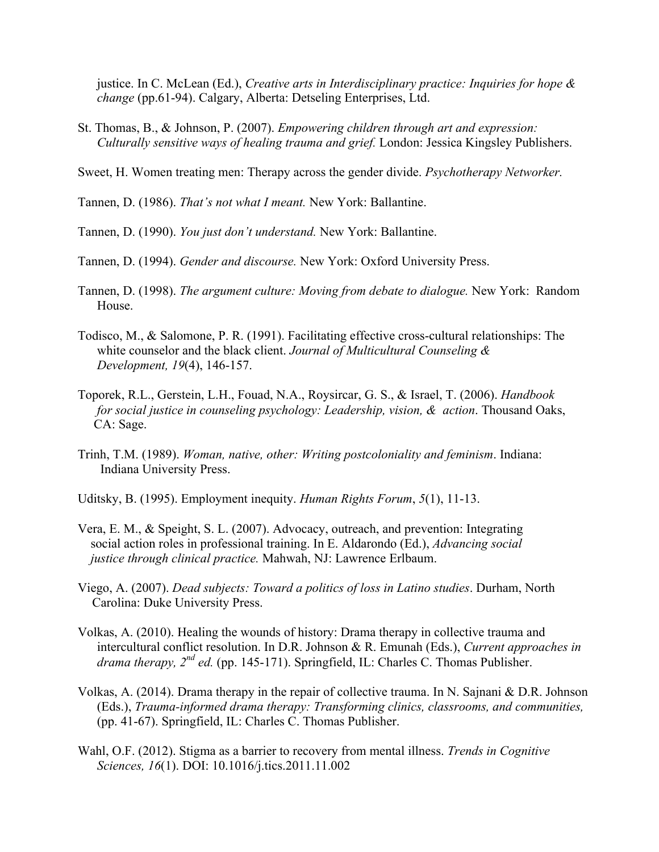justice. In C. McLean (Ed.), *Creative arts in Interdisciplinary practice: Inquiries for hope & change* (pp.61-94). Calgary, Alberta: Detseling Enterprises, Ltd.

- St. Thomas, B., & Johnson, P. (2007). *Empowering children through art and expression: Culturally sensitive ways of healing trauma and grief.* London: Jessica Kingsley Publishers.
- Sweet, H. Women treating men: Therapy across the gender divide. *Psychotherapy Networker.*

Tannen, D. (1986). *That's not what I meant.* New York: Ballantine.

Tannen, D. (1990). *You just don't understand.* New York: Ballantine.

- Tannen, D. (1994). *Gender and discourse.* New York: Oxford University Press.
- Tannen, D. (1998). *The argument culture: Moving from debate to dialogue.* New York: Random House.
- Todisco, M., & Salomone, P. R. (1991). Facilitating effective cross-cultural relationships: The white counselor and the black client. *Journal of Multicultural Counseling & Development, 19*(4), 146-157.
- Toporek, R.L., Gerstein, L.H., Fouad, N.A., Roysircar, G. S., & Israel, T. (2006). *Handbook for social justice in counseling psychology: Leadership, vision, & action*. Thousand Oaks, CA: Sage.
- Trinh, T.M. (1989). *Woman, native, other: Writing postcoloniality and feminism*. Indiana: Indiana University Press.
- Uditsky, B. (1995). Employment inequity. *Human Rights Forum*, *5*(1), 11-13.
- Vera, E. M., & Speight, S. L. (2007). Advocacy, outreach, and prevention: Integrating social action roles in professional training. In E. Aldarondo (Ed.), *Advancing social justice through clinical practice.* Mahwah, NJ: Lawrence Erlbaum.
- Viego, A. (2007). *Dead subjects: Toward a politics of loss in Latino studies*. Durham, North Carolina: Duke University Press.
- Volkas, A. (2010). Healing the wounds of history: Drama therapy in collective trauma and intercultural conflict resolution. In D.R. Johnson & R. Emunah (Eds.), *Current approaches in drama therapy, 2nd ed.* (pp. 145-171). Springfield, IL: Charles C. Thomas Publisher.
- Volkas, A. (2014). Drama therapy in the repair of collective trauma. In N. Sajnani & D.R. Johnson (Eds.), *Trauma-informed drama therapy: Transforming clinics, classrooms, and communities,*  (pp. 41-67). Springfield, IL: Charles C. Thomas Publisher.
- Wahl, O.F. (2012). Stigma as a barrier to recovery from mental illness. *Trends in Cognitive Sciences, 16*(1). DOI: 10.1016/j.tics.2011.11.002